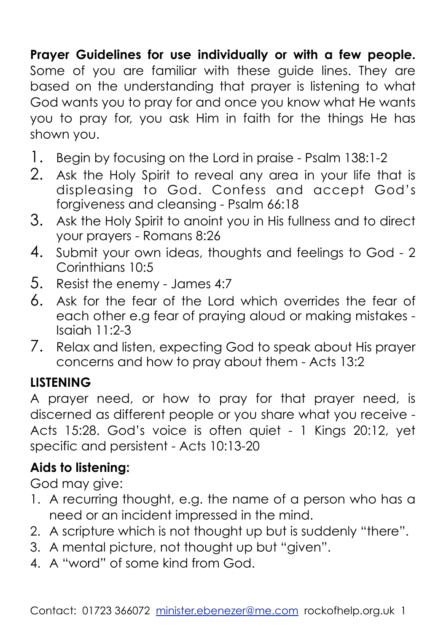## **Prayer Guidelines for use individually or with a few people.**

Some of you are familiar with these guide lines. They are based on the understanding that prayer is listening to what God wants you to pray for and once you know what He wants you to pray for, you ask Him in faith for the things He has shown you.

- 1. Begin by focusing on the Lord in praise Psalm 138:1-2
- 2. Ask the Holy Spirit to reveal any area in your life that is displeasing to God. Confess and accept God's forgiveness and cleansing - Psalm 66:18
- 3. Ask the Holy Spirit to anoint you in His fullness and to direct your prayers - Romans 8:26
- 4. Submit your own ideas, thoughts and feelings to God 2 Corinthians 10:5
- 5. Resist the enemy James 4:7
- 6. Ask for the fear of the Lord which overrides the fear of each other e.g fear of praying aloud or making mistakes - Isaiah 11:2-3
- 7. Relax and listen, expecting God to speak about His prayer concerns and how to pray about them - Acts 13:2

## **LISTENING**

A prayer need, or how to pray for that prayer need, is discerned as different people or you share what you receive - Acts 15:28. God's voice is often quiet - 1 Kings 20:12, yet specific and persistent - Acts 10:13-20

# **Aids to listening:**

God may give:

- 1. A recurring thought, e.g. the name of a person who has a need or an incident impressed in the mind.
- 2. A scripture which is not thought up but is suddenly "there".
- 3. A mental picture, not thought up but "given".
- 4. A "word" of some kind from God.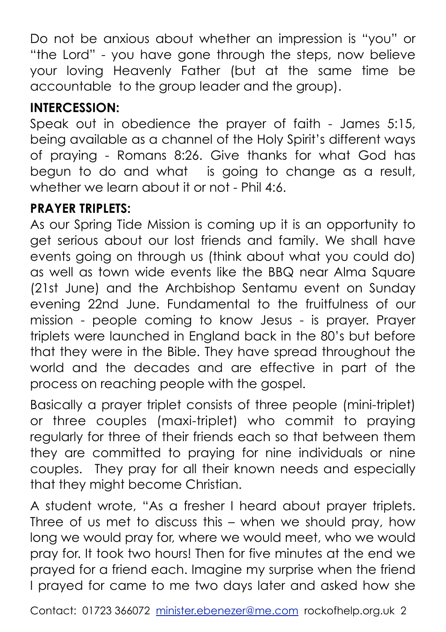Do not be anxious about whether an impression is "you" or "the Lord" - you have gone through the steps, now believe your loving Heavenly Father (but at the same time be accountable to the group leader and the group).

## **INTERCESSION:**

Speak out in obedience the prayer of faith - James 5:15, being available as a channel of the Holy Spirit's different ways of praying - Romans 8:26. Give thanks for what God has begun to do and what is going to change as a result, whether we learn about it or not - Phil 4:6.

#### **PRAYER TRIPLETS:**

As our Spring Tide Mission is coming up it is an opportunity to get serious about our lost friends and family. We shall have events going on through us (think about what you could do) as well as town wide events like the BBQ near Alma Square (21st June) and the Archbishop Sentamu event on Sunday evening 22nd June. Fundamental to the fruitfulness of our mission - people coming to know Jesus - is prayer. Prayer triplets were launched in England back in the 80's but before that they were in the Bible. They have spread throughout the world and the decades and are effective in part of the process on reaching people with the gospel.

Basically a prayer triplet consists of three people (mini-triplet) or three couples (maxi-triplet) who commit to praying regularly for three of their friends each so that between them they are committed to praying for nine individuals or nine couples. They pray for all their known needs and especially that they might become Christian.

A student wrote, "As a fresher I heard about prayer triplets. Three of us met to discuss this – when we should pray, how long we would pray for, where we would meet, who we would pray for. It took two hours! Then for five minutes at the end we prayed for a friend each. Imagine my surprise when the friend I prayed for came to me two days later and asked how she